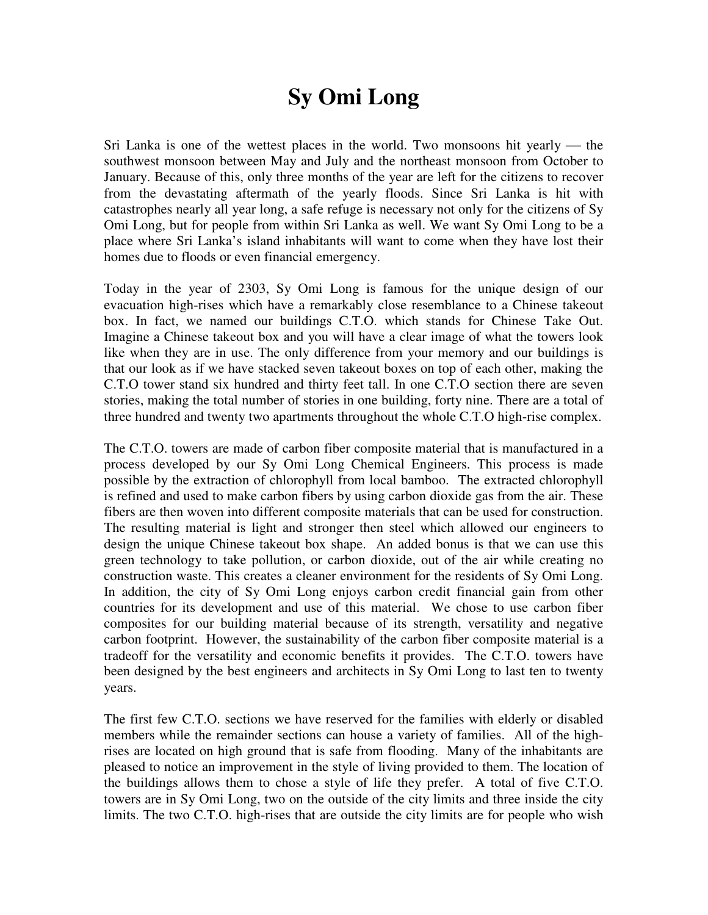# **Sy Omi Long**

Sri Lanka is one of the wettest places in the world. Two monsoons hit yearly — the southwest monsoon between May and July and the northeast monsoon from October to January. Because of this, only three months of the year are left for the citizens to recover from the devastating aftermath of the yearly floods. Since Sri Lanka is hit with catastrophes nearly all year long, a safe refuge is necessary not only for the citizens of Sy Omi Long, but for people from within Sri Lanka as well. We want Sy Omi Long to be a place where Sri Lanka's island inhabitants will want to come when they have lost their homes due to floods or even financial emergency.

Today in the year of 2303, Sy Omi Long is famous for the unique design of our evacuation high-rises which have a remarkably close resemblance to a Chinese takeout box. In fact, we named our buildings C.T.O. which stands for Chinese Take Out. Imagine a Chinese takeout box and you will have a clear image of what the towers look like when they are in use. The only difference from your memory and our buildings is that our look as if we have stacked seven takeout boxes on top of each other, making the C.T.O tower stand six hundred and thirty feet tall. In one C.T.O section there are seven stories, making the total number of stories in one building, forty nine. There are a total of three hundred and twenty two apartments throughout the whole C.T.O high-rise complex.

The C.T.O. towers are made of carbon fiber composite material that is manufactured in a process developed by our Sy Omi Long Chemical Engineers. This process is made possible by the extraction of chlorophyll from local bamboo. The extracted chlorophyll is refined and used to make carbon fibers by using carbon dioxide gas from the air. These fibers are then woven into different composite materials that can be used for construction. The resulting material is light and stronger then steel which allowed our engineers to design the unique Chinese takeout box shape. An added bonus is that we can use this green technology to take pollution, or carbon dioxide, out of the air while creating no construction waste. This creates a cleaner environment for the residents of Sy Omi Long. In addition, the city of Sy Omi Long enjoys carbon credit financial gain from other countries for its development and use of this material. We chose to use carbon fiber composites for our building material because of its strength, versatility and negative carbon footprint. However, the sustainability of the carbon fiber composite material is a tradeoff for the versatility and economic benefits it provides. The C.T.O. towers have been designed by the best engineers and architects in Sy Omi Long to last ten to twenty years.

The first few C.T.O. sections we have reserved for the families with elderly or disabled members while the remainder sections can house a variety of families. All of the highrises are located on high ground that is safe from flooding. Many of the inhabitants are pleased to notice an improvement in the style of living provided to them. The location of the buildings allows them to chose a style of life they prefer. A total of five C.T.O. towers are in Sy Omi Long, two on the outside of the city limits and three inside the city limits. The two C.T.O. high-rises that are outside the city limits are for people who wish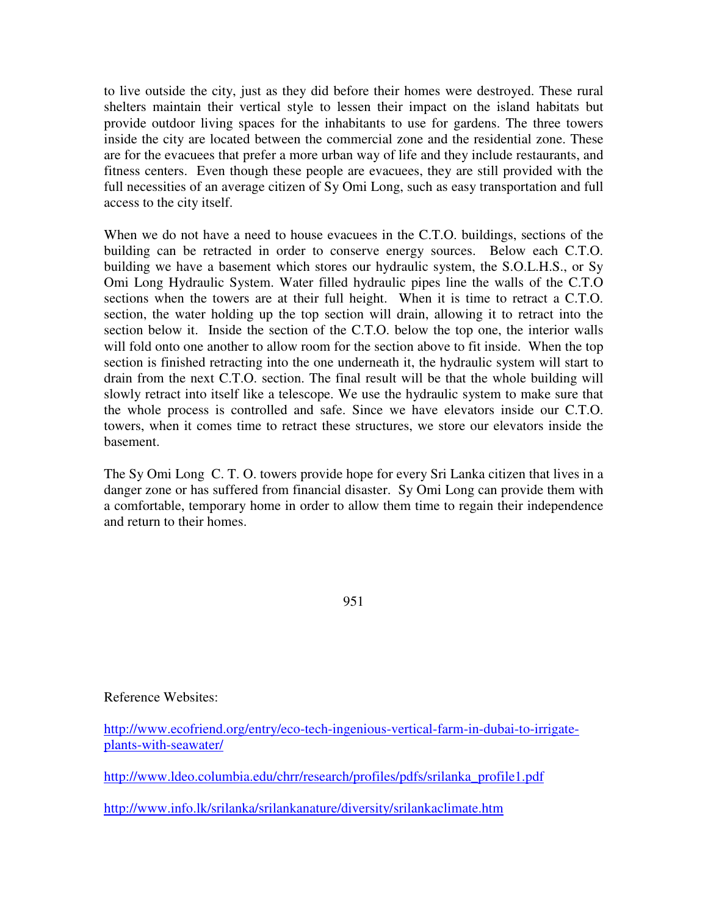to live outside the city, just as they did before their homes were destroyed. These rural shelters maintain their vertical style to lessen their impact on the island habitats but provide outdoor living spaces for the inhabitants to use for gardens. The three towers inside the city are located between the commercial zone and the residential zone. These are for the evacuees that prefer a more urban way of life and they include restaurants, and fitness centers. Even though these people are evacuees, they are still provided with the full necessities of an average citizen of Sy Omi Long, such as easy transportation and full access to the city itself.

When we do not have a need to house evacuees in the C.T.O. buildings, sections of the building can be retracted in order to conserve energy sources. Below each C.T.O. building we have a basement which stores our hydraulic system, the S.O.L.H.S., or Sy Omi Long Hydraulic System. Water filled hydraulic pipes line the walls of the C.T.O sections when the towers are at their full height. When it is time to retract a C.T.O. section, the water holding up the top section will drain, allowing it to retract into the section below it. Inside the section of the C.T.O. below the top one, the interior walls will fold onto one another to allow room for the section above to fit inside. When the top section is finished retracting into the one underneath it, the hydraulic system will start to drain from the next C.T.O. section. The final result will be that the whole building will slowly retract into itself like a telescope. We use the hydraulic system to make sure that the whole process is controlled and safe. Since we have elevators inside our C.T.O. towers, when it comes time to retract these structures, we store our elevators inside the basement.

The Sy Omi Long C. T. O. towers provide hope for every Sri Lanka citizen that lives in a danger zone or has suffered from financial disaster. Sy Omi Long can provide them with a comfortable, temporary home in order to allow them time to regain their independence and return to their homes.

951

## Reference Websites:

http://www.ecofriend.org/entry/eco-tech-ingenious-vertical-farm-in-dubai-to-irrigateplants-with-seawater/

http://www.ldeo.columbia.edu/chrr/research/profiles/pdfs/srilanka\_profile1.pdf

http://www.info.lk/srilanka/srilankanature/diversity/srilankaclimate.htm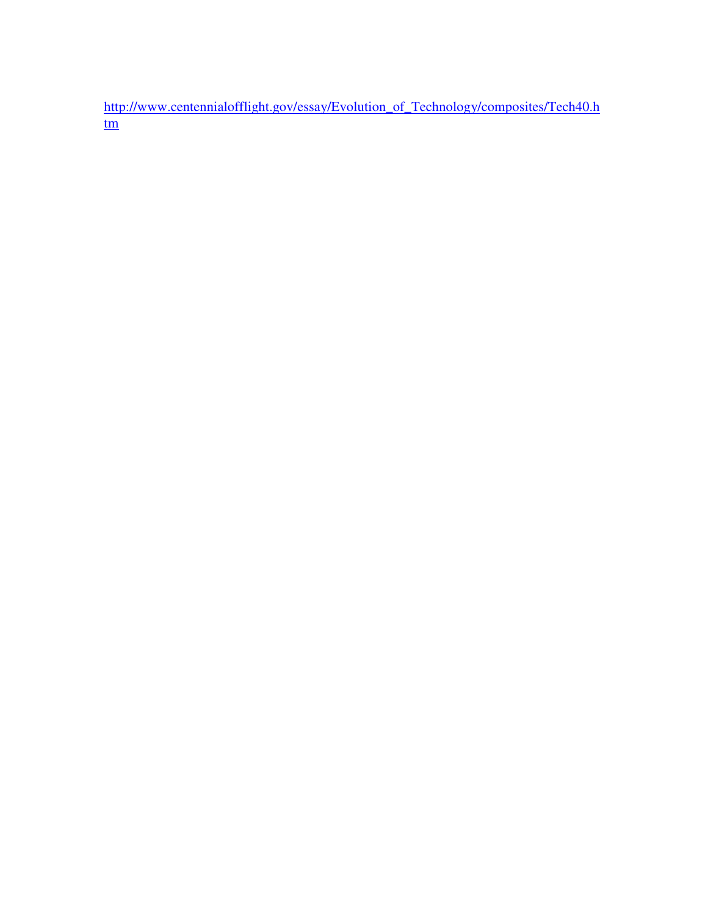http://www.centennialofflight.gov/essay/Evolution\_of\_Technology/composites/Tech40.h tm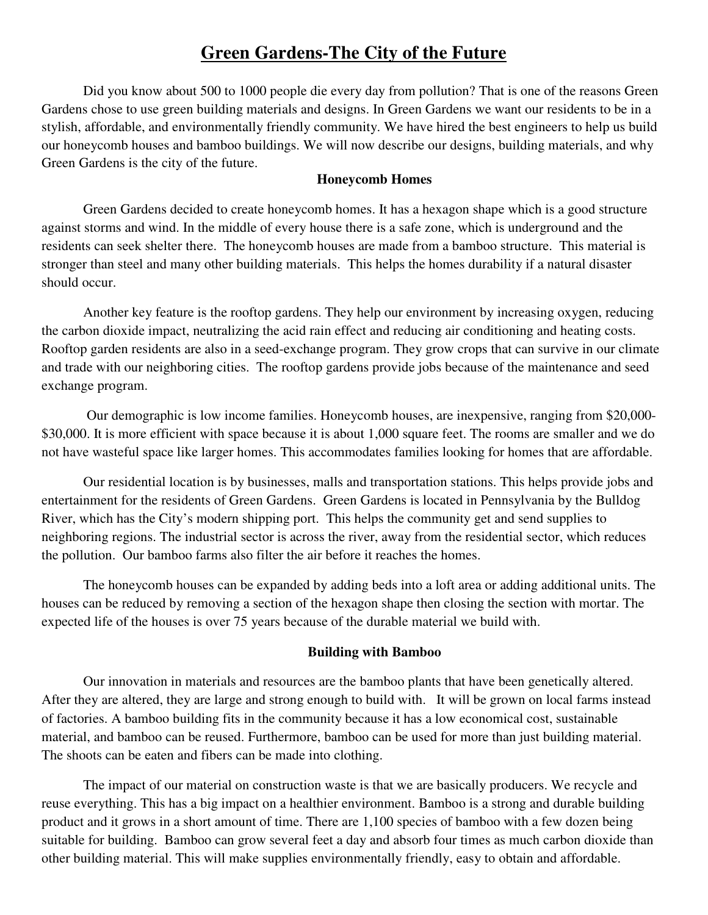# **Green Gardens-The City of the Future**

Did you know about 500 to 1000 people die every day from pollution? That is one of the reasons Green Gardens chose to use green building materials and designs. In Green Gardens we want our residents to be in a stylish, affordable, and environmentally friendly community. We have hired the best engineers to help us build our honeycomb houses and bamboo buildings. We will now describe our designs, building materials, and why Green Gardens is the city of the future.

## **Honeycomb Homes**

Green Gardens decided to create honeycomb homes. It has a hexagon shape which is a good structure against storms and wind. In the middle of every house there is a safe zone, which is underground and the residents can seek shelter there. The honeycomb houses are made from a bamboo structure. This material is stronger than steel and many other building materials. This helps the homes durability if a natural disaster should occur.

Another key feature is the rooftop gardens. They help our environment by increasing oxygen, reducing the carbon dioxide impact, neutralizing the acid rain effect and reducing air conditioning and heating costs. Rooftop garden residents are also in a seed-exchange program. They grow crops that can survive in our climate and trade with our neighboring cities. The rooftop gardens provide jobs because of the maintenance and seed exchange program.

 Our demographic is low income families. Honeycomb houses, are inexpensive, ranging from \$20,000- \$30,000. It is more efficient with space because it is about 1,000 square feet. The rooms are smaller and we do not have wasteful space like larger homes. This accommodates families looking for homes that are affordable.

Our residential location is by businesses, malls and transportation stations. This helps provide jobs and entertainment for the residents of Green Gardens. Green Gardens is located in Pennsylvania by the Bulldog River, which has the City's modern shipping port. This helps the community get and send supplies to neighboring regions. The industrial sector is across the river, away from the residential sector, which reduces the pollution. Our bamboo farms also filter the air before it reaches the homes.

The honeycomb houses can be expanded by adding beds into a loft area or adding additional units. The houses can be reduced by removing a section of the hexagon shape then closing the section with mortar. The expected life of the houses is over 75 years because of the durable material we build with.

## **Building with Bamboo**

Our innovation in materials and resources are the bamboo plants that have been genetically altered. After they are altered, they are large and strong enough to build with. It will be grown on local farms instead of factories. A bamboo building fits in the community because it has a low economical cost, sustainable material, and bamboo can be reused. Furthermore, bamboo can be used for more than just building material. The shoots can be eaten and fibers can be made into clothing.

The impact of our material on construction waste is that we are basically producers. We recycle and reuse everything. This has a big impact on a healthier environment. Bamboo is a strong and durable building product and it grows in a short amount of time. There are 1,100 species of bamboo with a few dozen being suitable for building. Bamboo can grow several feet a day and absorb four times as much carbon dioxide than other building material. This will make supplies environmentally friendly, easy to obtain and affordable.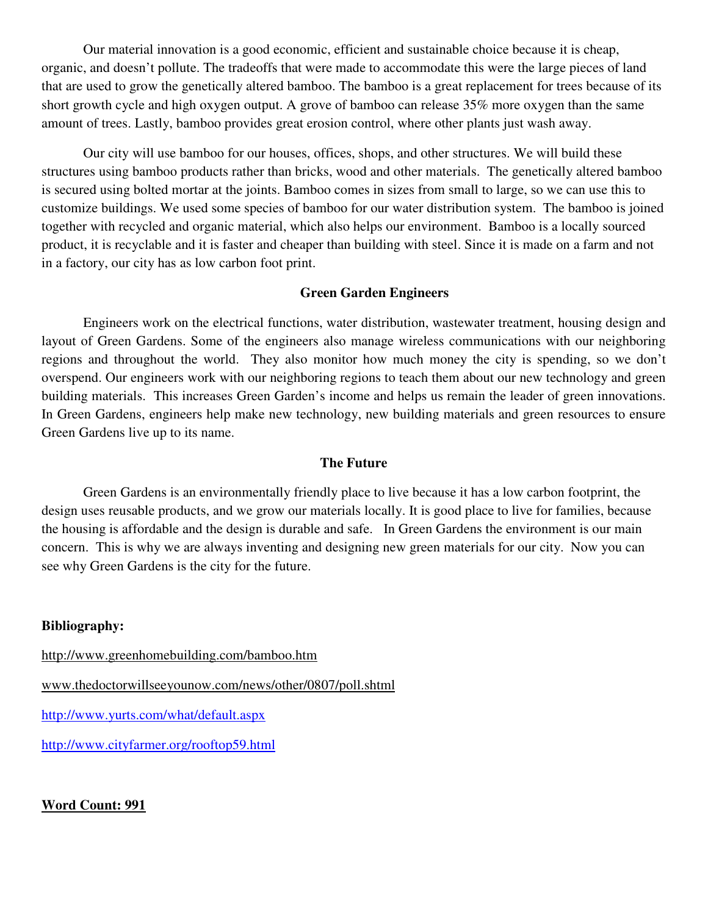Our material innovation is a good economic, efficient and sustainable choice because it is cheap, organic, and doesn't pollute. The tradeoffs that were made to accommodate this were the large pieces of land that are used to grow the genetically altered bamboo. The bamboo is a great replacement for trees because of its short growth cycle and high oxygen output. A grove of bamboo can release 35% more oxygen than the same amount of trees. Lastly, bamboo provides great erosion control, where other plants just wash away.

Our city will use bamboo for our houses, offices, shops, and other structures. We will build these structures using bamboo products rather than bricks, wood and other materials. The genetically altered bamboo is secured using bolted mortar at the joints. Bamboo comes in sizes from small to large, so we can use this to customize buildings. We used some species of bamboo for our water distribution system. The bamboo is joined together with recycled and organic material, which also helps our environment. Bamboo is a locally sourced product, it is recyclable and it is faster and cheaper than building with steel. Since it is made on a farm and not in a factory, our city has as low carbon foot print.

#### **Green Garden Engineers**

 Engineers work on the electrical functions, water distribution, wastewater treatment, housing design and layout of Green Gardens. Some of the engineers also manage wireless communications with our neighboring regions and throughout the world. They also monitor how much money the city is spending, so we don't overspend. Our engineers work with our neighboring regions to teach them about our new technology and green building materials. This increases Green Garden's income and helps us remain the leader of green innovations. In Green Gardens, engineers help make new technology, new building materials and green resources to ensure Green Gardens live up to its name.

#### **The Future**

Green Gardens is an environmentally friendly place to live because it has a low carbon footprint, the design uses reusable products, and we grow our materials locally. It is good place to live for families, because the housing is affordable and the design is durable and safe. In Green Gardens the environment is our main concern. This is why we are always inventing and designing new green materials for our city. Now you can see why Green Gardens is the city for the future.

#### **Bibliography:**

http://www.greenhomebuilding.com/bamboo.htm www.thedoctorwillseeyounow.com/news/other/0807/poll.shtml http://www.yurts.com/what/default.aspx http://www.cityfarmer.org/rooftop59.html

**Word Count: 991**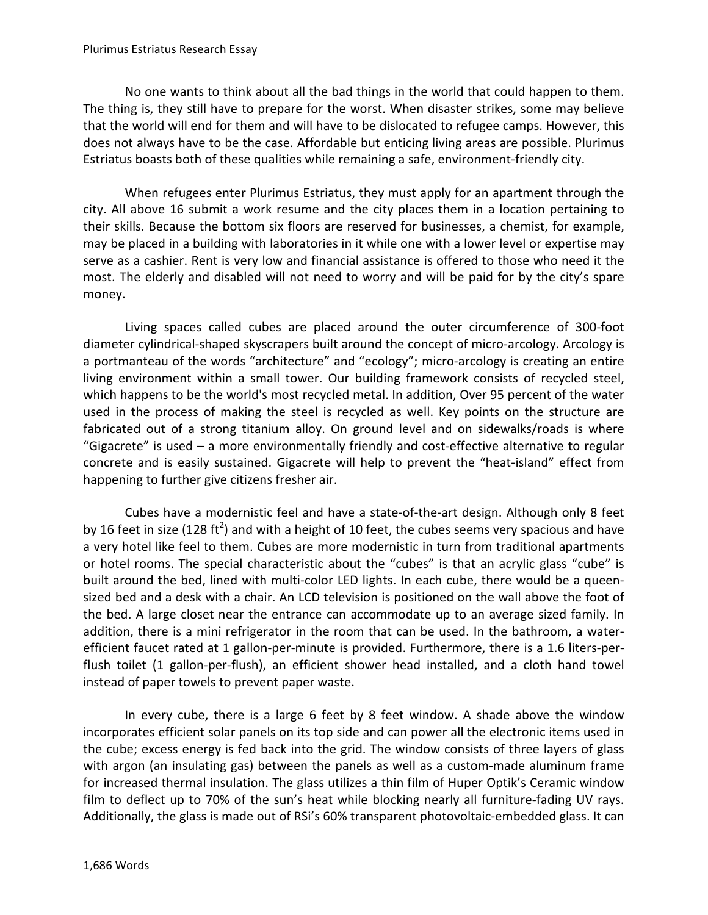#### Plurimus Estriatus Research Essay

No one wants to think about all the bad things in the world that could happen to them. The thing is, they still have to prepare for the worst. When disaster strikes, some may believe that the world will end for them and will have to be dislocated to refugee camps. However, this does not always have to be the case. Affordable but enticing living areas are possible. Plurimus Estriatus boasts both of these qualities while remaining a safe, environment-friendly city.

When refugees enter Plurimus Estriatus, they must apply for an apartment through the city. All above 16 submit a work resume and the city places them in a location pertaining to their skills. Because the bottom six floors are reserved for businesses, a chemist, for example, may be placed in a building with laboratories in it while one with a lower level or expertise may serve as a cashier. Rent is very low and financial assistance is offered to those who need it the most. The elderly and disabled will not need to worry and will be paid for by the city's spare money.

Living spaces called cubes are placed around the outer circumference of 300-foot diameter cylindrical-shaped skyscrapers built around the concept of micro-arcology. Arcology is a portmanteau of the words "architecture" and "ecology"; micro-arcology is creating an entire living environment within a small tower. Our building framework consists of recycled steel, which happens to be the world's most recycled metal. In addition, Over 95 percent of the water used in the process of making the steel is recycled as well. Key points on the structure are fabricated out of a strong titanium alloy. On ground level and on sidewalks/roads is where "Gigacrete" is used – a more environmentally friendly and cost-effective alternative to regular concrete and is easily sustained. Gigacrete will help to prevent the "heat-island" effect from happening to further give citizens fresher air.

Cubes have a modernistic feel and have a state-of-the-art design. Although only 8 feet by 16 feet in size (128 ft<sup>2</sup>) and with a height of 10 feet, the cubes seems very spacious and have a very hotel like feel to them. Cubes are more modernistic in turn from traditional apartments or hotel rooms. The special characteristic about the "cubes" is that an acrylic glass "cube" is built around the bed, lined with multi-color LED lights. In each cube, there would be a queensized bed and a desk with a chair. An LCD television is positioned on the wall above the foot of the bed. A large closet near the entrance can accommodate up to an average sized family. In addition, there is a mini refrigerator in the room that can be used. In the bathroom, a waterefficient faucet rated at 1 gallon-per-minute is provided. Furthermore, there is a 1.6 liters-perflush toilet (1 gallon-per-flush), an efficient shower head installed, and a cloth hand towel instead of paper towels to prevent paper waste.

In every cube, there is a large 6 feet by 8 feet window. A shade above the window incorporates efficient solar panels on its top side and can power all the electronic items used in the cube; excess energy is fed back into the grid. The window consists of three layers of glass with argon (an insulating gas) between the panels as well as a custom-made aluminum frame for increased thermal insulation. The glass utilizes a thin film of Huper Optik's Ceramic window film to deflect up to 70% of the sun's heat while blocking nearly all furniture-fading UV rays. Additionally, the glass is made out of RSi's 60% transparent photovoltaic-embedded glass. It can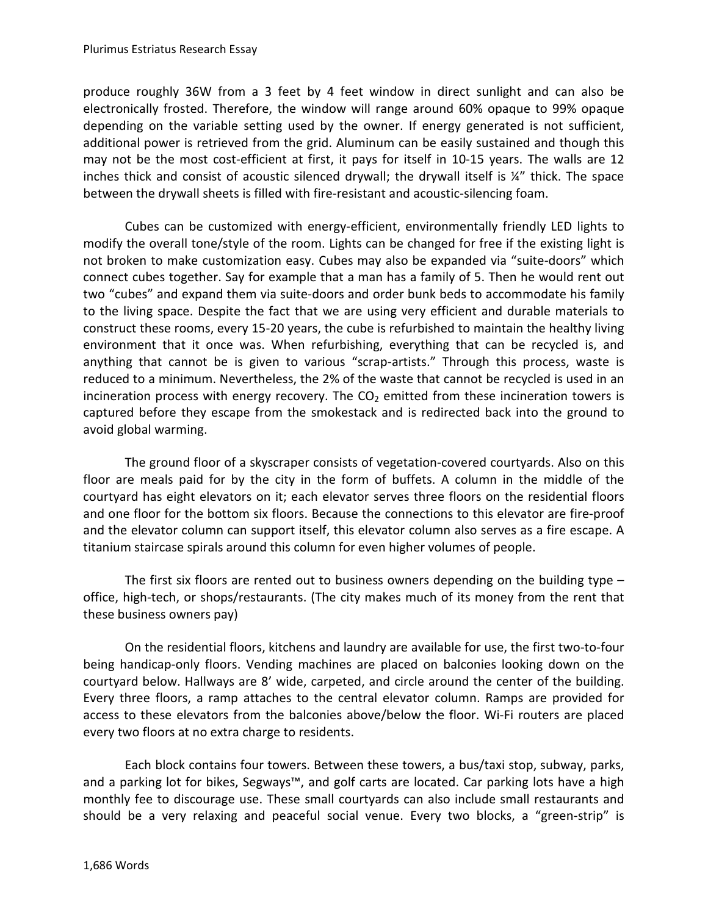produce roughly 36W from a 3 feet by 4 feet window in direct sunlight and can also be electronically frosted. Therefore, the window will range around 60% opaque to 99% opaque depending on the variable setting used by the owner. If energy generated is not sufficient, additional power is retrieved from the grid. Aluminum can be easily sustained and though this may not be the most cost-efficient at first, it pays for itself in 10-15 years. The walls are 12 inches thick and consist of acoustic silenced drywall; the drywall itself is ¼" thick. The space between the drywall sheets is filled with fire-resistant and acoustic-silencing foam.

Cubes can be customized with energy-efficient, environmentally friendly LED lights to modify the overall tone/style of the room. Lights can be changed for free if the existing light is not broken to make customization easy. Cubes may also be expanded via "suite-doors" which connect cubes together. Say for example that a man has a family of 5. Then he would rent out two "cubes" and expand them via suite-doors and order bunk beds to accommodate his family to the living space. Despite the fact that we are using very efficient and durable materials to construct these rooms, every 15-20 years, the cube is refurbished to maintain the healthy living environment that it once was. When refurbishing, everything that can be recycled is, and anything that cannot be is given to various "scrap-artists." Through this process, waste is reduced to a minimum. Nevertheless, the 2% of the waste that cannot be recycled is used in an incineration process with energy recovery. The  $CO<sub>2</sub>$  emitted from these incineration towers is captured before they escape from the smokestack and is redirected back into the ground to avoid global warming.

The ground floor of a skyscraper consists of vegetation-covered courtyards. Also on this floor are meals paid for by the city in the form of buffets. A column in the middle of the courtyard has eight elevators on it; each elevator serves three floors on the residential floors and one floor for the bottom six floors. Because the connections to this elevator are fire-proof and the elevator column can support itself, this elevator column also serves as a fire escape. A titanium staircase spirals around this column for even higher volumes of people.

The first six floors are rented out to business owners depending on the building type – office, high-tech, or shops/restaurants. (The city makes much of its money from the rent that these business owners pay)

On the residential floors, kitchens and laundry are available for use, the first two-to-four being handicap-only floors. Vending machines are placed on balconies looking down on the courtyard below. Hallways are 8' wide, carpeted, and circle around the center of the building. Every three floors, a ramp attaches to the central elevator column. Ramps are provided for access to these elevators from the balconies above/below the floor. Wi-Fi routers are placed every two floors at no extra charge to residents.

Each block contains four towers. Between these towers, a bus/taxi stop, subway, parks, and a parking lot for bikes, Segways™, and golf carts are located. Car parking lots have a high monthly fee to discourage use. These small courtyards can also include small restaurants and should be a very relaxing and peaceful social venue. Every two blocks, a "green-strip" is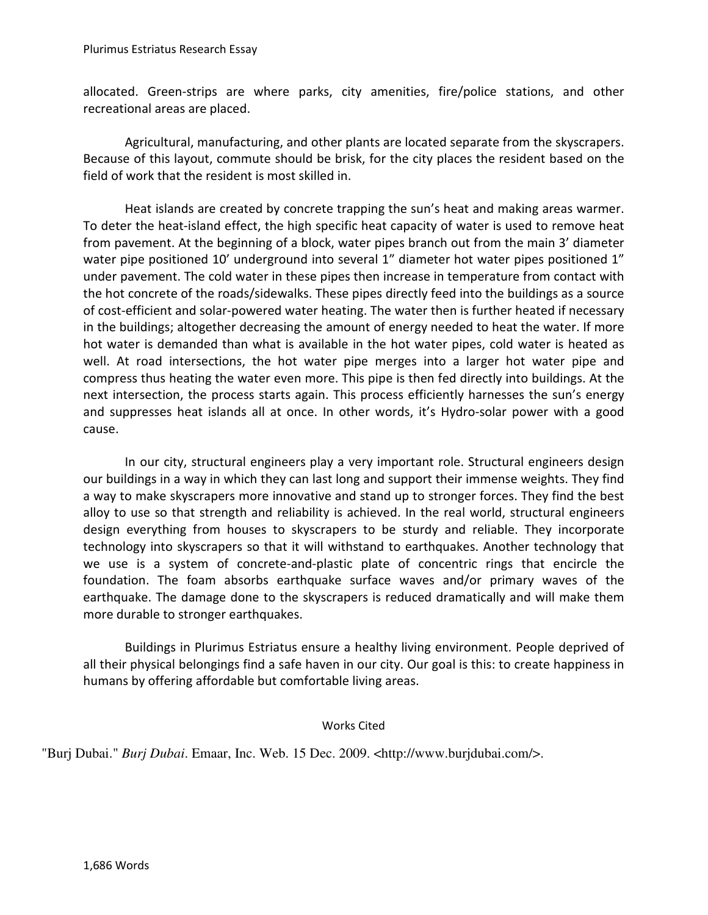allocated. Green-strips are where parks, city amenities, fire/police stations, and other recreational areas are placed.

Agricultural, manufacturing, and other plants are located separate from the skyscrapers. Because of this layout, commute should be brisk, for the city places the resident based on the field of work that the resident is most skilled in.

Heat islands are created by concrete trapping the sun's heat and making areas warmer. To deter the heat-island effect, the high specific heat capacity of water is used to remove heat from pavement. At the beginning of a block, water pipes branch out from the main 3' diameter water pipe positioned 10' underground into several 1" diameter hot water pipes positioned 1" under pavement. The cold water in these pipes then increase in temperature from contact with the hot concrete of the roads/sidewalks. These pipes directly feed into the buildings as a source of cost-efficient and solar-powered water heating. The water then is further heated if necessary in the buildings; altogether decreasing the amount of energy needed to heat the water. If more hot water is demanded than what is available in the hot water pipes, cold water is heated as well. At road intersections, the hot water pipe merges into a larger hot water pipe and compress thus heating the water even more. This pipe is then fed directly into buildings. At the next intersection, the process starts again. This process efficiently harnesses the sun's energy and suppresses heat islands all at once. In other words, it's Hydro-solar power with a good cause.

In our city, structural engineers play a very important role. Structural engineers design our buildings in a way in which they can last long and support their immense weights. They find a way to make skyscrapers more innovative and stand up to stronger forces. They find the best alloy to use so that strength and reliability is achieved. In the real world, structural engineers design everything from houses to skyscrapers to be sturdy and reliable. They incorporate technology into skyscrapers so that it will withstand to earthquakes. Another technology that we use is a system of concrete-and-plastic plate of concentric rings that encircle the foundation. The foam absorbs earthquake surface waves and/or primary waves of the earthquake. The damage done to the skyscrapers is reduced dramatically and will make them more durable to stronger earthquakes.

Buildings in Plurimus Estriatus ensure a healthy living environment. People deprived of all their physical belongings find a safe haven in our city. Our goal is this: to create happiness in humans by offering affordable but comfortable living areas.

Works Cited

"Burj Dubai." *Burj Dubai*. Emaar, Inc. Web. 15 Dec. 2009. <http://www.burjdubai.com/>.